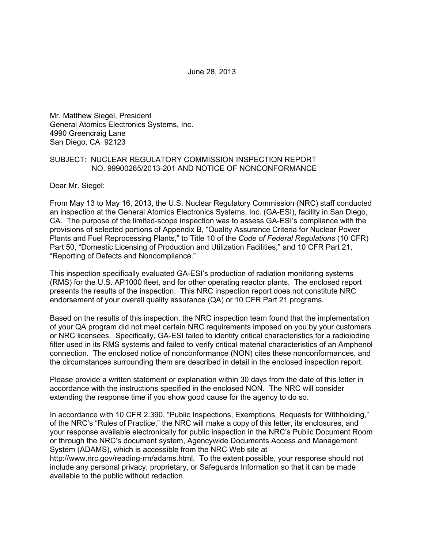June 28, 2013

Mr. Matthew Siegel, President General Atomics Electronics Systems, Inc. 4990 Greencraig Lane San Diego, CA 92123

#### SUBJECT: NUCLEAR REGULATORY COMMISSION INSPECTION REPORT NO. 99900265/2013-201 AND NOTICE OF NONCONFORMANCE

Dear Mr. Siegel:

From May 13 to May 16, 2013, the U.S. Nuclear Regulatory Commission (NRC) staff conducted an inspection at the General Atomics Electronics Systems, Inc. (GA-ESI), facility in San Diego, CA. The purpose of the limited-scope inspection was to assess GA-ESI's compliance with the provisions of selected portions of Appendix B, "Quality Assurance Criteria for Nuclear Power Plants and Fuel Reprocessing Plants," to Title 10 of the *Code of Federal Regulations* (10 CFR) Part 50, "Domestic Licensing of Production and Utilization Facilities," and 10 CFR Part 21, "Reporting of Defects and Noncompliance."

This inspection specifically evaluated GA-ESI's production of radiation monitoring systems (RMS) for the U.S. AP1000 fleet, and for other operating reactor plants. The enclosed report presents the results of the inspection. This NRC inspection report does not constitute NRC endorsement of your overall quality assurance (QA) or 10 CFR Part 21 programs.

Based on the results of this inspection, the NRC inspection team found that the implementation of your QA program did not meet certain NRC requirements imposed on you by your customers or NRC licensees. Specifically, GA-ESI failed to identify critical characteristics for a radioiodine filter used in its RMS systems and failed to verify critical material characteristics of an Amphenol connection. The enclosed notice of nonconformance (NON) cites these nonconformances, and the circumstances surrounding them are described in detail in the enclosed inspection report.

Please provide a written statement or explanation within 30 days from the date of this letter in accordance with the instructions specified in the enclosed NON. The NRC will consider extending the response time if you show good cause for the agency to do so.

In accordance with 10 CFR 2.390, "Public Inspections, Exemptions, Requests for Withholding," of the NRC's "Rules of Practice," the NRC will make a copy of this letter, its enclosures, and your response available electronically for public inspection in the NRC's Public Document Room or through the NRC's document system, Agencywide Documents Access and Management System (ADAMS), which is accessible from the NRC Web site at http://www.nrc.gov/reading-rm/adams.html. To the extent possible, your response should not include any personal privacy, proprietary, or Safeguards Information so that it can be made available to the public without redaction.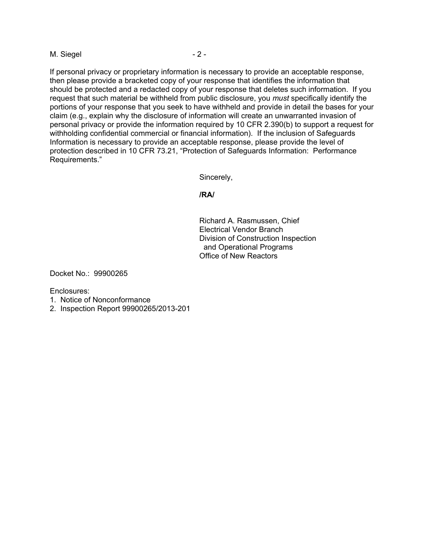$M.$  Siegel  $-2 -$ 

If personal privacy or proprietary information is necessary to provide an acceptable response, then please provide a bracketed copy of your response that identifies the information that should be protected and a redacted copy of your response that deletes such information. If you request that such material be withheld from public disclosure, you *must* specifically identify the portions of your response that you seek to have withheld and provide in detail the bases for your claim (e.g., explain why the disclosure of information will create an unwarranted invasion of personal privacy or provide the information required by 10 CFR 2.390(b) to support a request for withholding confidential commercial or financial information). If the inclusion of Safeguards Information is necessary to provide an acceptable response, please provide the level of protection described in 10 CFR 73.21, "Protection of Safeguards Information: Performance Requirements."

Sincerely,

**/RA/** 

Richard A. Rasmussen, Chief Electrical Vendor Branch Division of Construction Inspection and Operational Programs Office of New Reactors

Docket No.: 99900265

Enclosures:

- 1. Notice of Nonconformance
- 2. Inspection Report 99900265/2013-201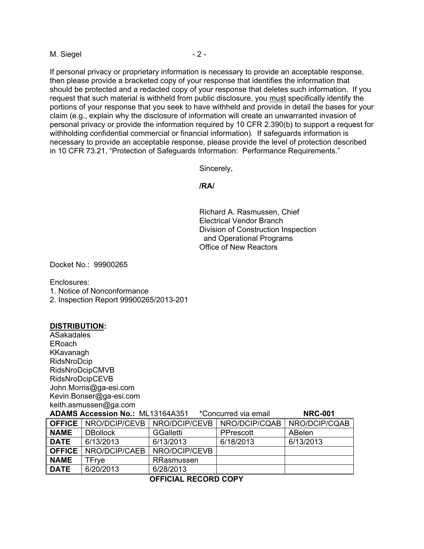$M.$  Siegel  $-2 -$ 

If personal privacy or proprietary information is necessary to provide an acceptable response, then please provide a bracketed copy of your response that identifies the information that should be protected and a redacted copy of your response that deletes such information. If you request that such material is withheld from public disclosure, you must specifically identify the portions of your response that you seek to have withheld and provide in detail the bases for your claim (e.g., explain why the disclosure of information will create an unwarranted invasion of personal privacy or provide the information required by 10 CFR 2.390(b) to support a request for withholding confidential commercial or financial information). If safeguards information is necessary to provide an acceptable response, please provide the level of protection described in 10 CFR 73.21, "Protection of Safeguards Information: Performance Requirements."

Sincerely,

**/RA/** 

Richard A. Rasmussen, Chief Electrical Vendor Branch Division of Construction Inspection and Operational Programs Office of New Reactors

Docket No.: 99900265

Enclosures:

1. Notice of Nonconformance

2. Inspection Report 99900265/2013-201

#### **DISTRIBUTION:**

ASakadales ERoach KKavanagh RidsNroDcip RidsNroDcipCMVB RidsNroDcipCEVB John.Morris@ga-esi.com Kevin.Bonser@ga-esi.com keith.asmussen@ga.com

| <b>ADAMS Accession No.: ML13164A351</b> |                             |                                                               | *Concurred via email | <b>NRC-001</b> |  |
|-----------------------------------------|-----------------------------|---------------------------------------------------------------|----------------------|----------------|--|
|                                         |                             | <b>OFFICE</b>   NRO/DCIP/CEVB   NRO/DCIP/CEVB   NRO/DCIP/CQAB |                      | NRO/DCIP/CQAB  |  |
| <b>NAME</b>                             | <b>DBollock</b>             | <b>GGalletti</b>                                              | PPrescott            | ABelen         |  |
| <b>DATE</b>                             | 6/13/2013                   | 6/13/2013                                                     | 6/18/2013            | 6/13/2013      |  |
|                                         | <b>OFFICE</b> NRO/DCIP/CAEB | NRO/DCIP/CEVB                                                 |                      |                |  |
| <b>NAME</b>                             | TFrve                       | RRasmussen                                                    |                      |                |  |
| <b>DATE</b>                             | 6/20/2013                   | 6/28/2013                                                     |                      |                |  |

**OFFICIAL RECORD COPY**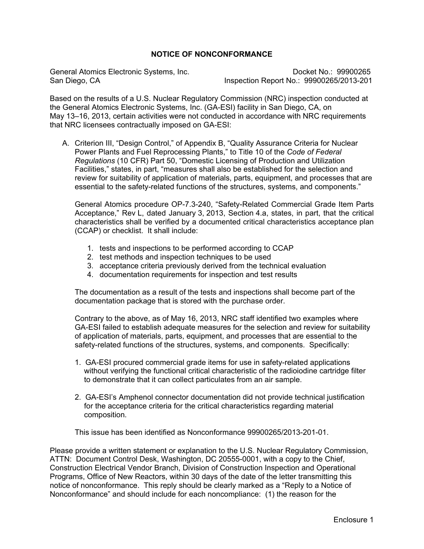### **NOTICE OF NONCONFORMANCE**

General Atomics Electronic Systems, Inc. Change of the Control of Docket No.: 99900265 San Diego, CA Inspection Report No.: 99900265/2013-201

Based on the results of a U.S. Nuclear Regulatory Commission (NRC) inspection conducted at the General Atomics Electronic Systems, Inc. (GA-ESI) facility in San Diego, CA, on May 13–16, 2013, certain activities were not conducted in accordance with NRC requirements that NRC licensees contractually imposed on GA-ESI:

A. Criterion III, "Design Control," of Appendix B, "Quality Assurance Criteria for Nuclear Power Plants and Fuel Reprocessing Plants," to Title 10 of the *Code of Federal Regulations* (10 CFR) Part 50, "Domestic Licensing of Production and Utilization Facilities," states, in part, "measures shall also be established for the selection and review for suitability of application of materials, parts, equipment, and processes that are essential to the safety-related functions of the structures, systems, and components."

General Atomics procedure OP-7.3-240, "Safety-Related Commercial Grade Item Parts Acceptance," Rev L, dated January 3, 2013, Section 4.a, states, in part, that the critical characteristics shall be verified by a documented critical characteristics acceptance plan (CCAP) or checklist. It shall include:

- 1. tests and inspections to be performed according to CCAP
- 2. test methods and inspection techniques to be used
- 3. acceptance criteria previously derived from the technical evaluation
- 4. documentation requirements for inspection and test results

The documentation as a result of the tests and inspections shall become part of the documentation package that is stored with the purchase order.

Contrary to the above, as of May 16, 2013, NRC staff identified two examples where GA-ESI failed to establish adequate measures for the selection and review for suitability of application of materials, parts, equipment, and processes that are essential to the safety-related functions of the structures, systems, and components. Specifically:

- 1. GA-ESI procured commercial grade items for use in safety-related applications without verifying the functional critical characteristic of the radioiodine cartridge filter to demonstrate that it can collect particulates from an air sample.
- 2. GA-ESI's Amphenol connector documentation did not provide technical justification for the acceptance criteria for the critical characteristics regarding material composition.

This issue has been identified as Nonconformance 99900265/2013-201-01.

Please provide a written statement or explanation to the U.S. Nuclear Regulatory Commission, ATTN: Document Control Desk, Washington, DC 20555-0001, with a copy to the Chief, Construction Electrical Vendor Branch, Division of Construction Inspection and Operational Programs, Office of New Reactors, within 30 days of the date of the letter transmitting this notice of nonconformance. This reply should be clearly marked as a "Reply to a Notice of Nonconformance" and should include for each noncompliance: (1) the reason for the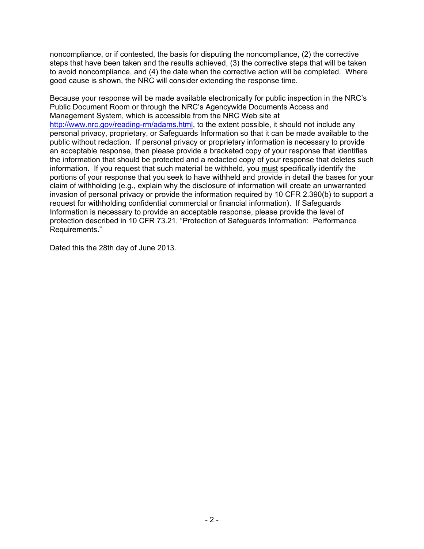noncompliance, or if contested, the basis for disputing the noncompliance, (2) the corrective steps that have been taken and the results achieved, (3) the corrective steps that will be taken to avoid noncompliance, and (4) the date when the corrective action will be completed. Where good cause is shown, the NRC will consider extending the response time.

Because your response will be made available electronically for public inspection in the NRC's Public Document Room or through the NRC's Agencywide Documents Access and Management System, which is accessible from the NRC Web site at http://www.nrc.gov/reading-rm/adams.html, to the extent possible, it should not include any personal privacy, proprietary, or Safeguards Information so that it can be made available to the public without redaction. If personal privacy or proprietary information is necessary to provide an acceptable response, then please provide a bracketed copy of your response that identifies the information that should be protected and a redacted copy of your response that deletes such information. If you request that such material be withheld, you must specifically identify the portions of your response that you seek to have withheld and provide in detail the bases for your claim of withholding (e.g., explain why the disclosure of information will create an unwarranted invasion of personal privacy or provide the information required by 10 CFR 2.390(b) to support a request for withholding confidential commercial or financial information). If Safeguards Information is necessary to provide an acceptable response, please provide the level of protection described in 10 CFR 73.21, "Protection of Safeguards Information: Performance Requirements."

Dated this the 28th day of June 2013.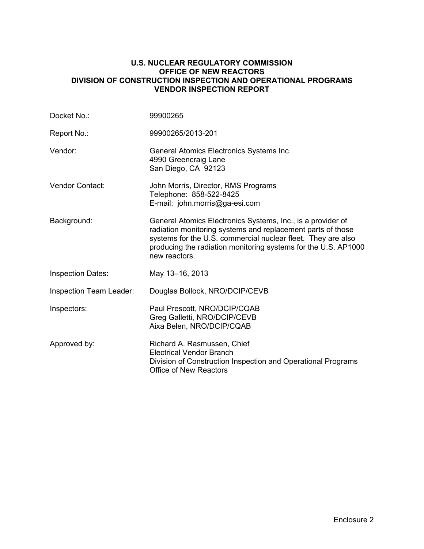#### **U.S. NUCLEAR REGULATORY COMMISSION OFFICE OF NEW REACTORS DIVISION OF CONSTRUCTION INSPECTION AND OPERATIONAL PROGRAMS VENDOR INSPECTION REPORT**

| Docket No.:              | 99900265                                                                                                                                                                                                                                                                      |
|--------------------------|-------------------------------------------------------------------------------------------------------------------------------------------------------------------------------------------------------------------------------------------------------------------------------|
| Report No.:              | 99900265/2013-201                                                                                                                                                                                                                                                             |
| Vendor:                  | General Atomics Electronics Systems Inc.<br>4990 Greencraig Lane<br>San Diego, CA 92123                                                                                                                                                                                       |
| <b>Vendor Contact:</b>   | John Morris, Director, RMS Programs<br>Telephone: 858-522-8425<br>E-mail: john.morris@ga-esi.com                                                                                                                                                                              |
| Background:              | General Atomics Electronics Systems, Inc., is a provider of<br>radiation monitoring systems and replacement parts of those<br>systems for the U.S. commercial nuclear fleet. They are also<br>producing the radiation monitoring systems for the U.S. AP1000<br>new reactors. |
| <b>Inspection Dates:</b> | May 13-16, 2013                                                                                                                                                                                                                                                               |
| Inspection Team Leader:  | Douglas Bollock, NRO/DCIP/CEVB                                                                                                                                                                                                                                                |
| Inspectors:              | Paul Prescott, NRO/DCIP/CQAB<br>Greg Galletti, NRO/DCIP/CEVB<br>Aixa Belen, NRO/DCIP/CQAB                                                                                                                                                                                     |
| Approved by:             | Richard A. Rasmussen, Chief<br><b>Electrical Vendor Branch</b><br>Division of Construction Inspection and Operational Programs<br><b>Office of New Reactors</b>                                                                                                               |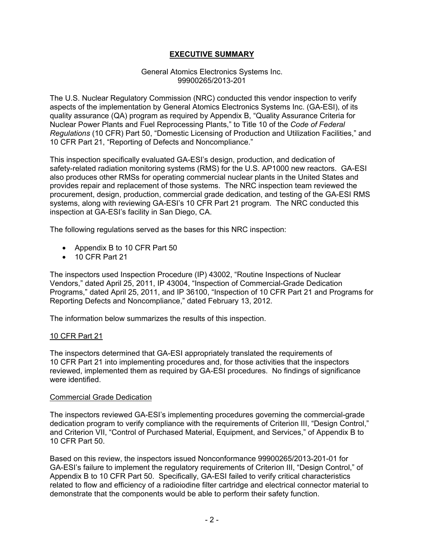## **EXECUTIVE SUMMARY**

#### General Atomics Electronics Systems Inc. 99900265/2013-201

The U.S. Nuclear Regulatory Commission (NRC) conducted this vendor inspection to verify aspects of the implementation by General Atomics Electronics Systems Inc. (GA-ESI), of its quality assurance (QA) program as required by Appendix B, "Quality Assurance Criteria for Nuclear Power Plants and Fuel Reprocessing Plants," to Title 10 of the *Code of Federal Regulations* (10 CFR) Part 50, "Domestic Licensing of Production and Utilization Facilities," and 10 CFR Part 21, "Reporting of Defects and Noncompliance."

This inspection specifically evaluated GA-ESI's design, production, and dedication of safety-related radiation monitoring systems (RMS) for the U.S. AP1000 new reactors. GA-ESI also produces other RMSs for operating commercial nuclear plants in the United States and provides repair and replacement of those systems. The NRC inspection team reviewed the procurement, design, production, commercial grade dedication, and testing of the GA-ESI RMS systems, along with reviewing GA-ESI's 10 CFR Part 21 program. The NRC conducted this inspection at GA-ESI's facility in San Diego, CA.

The following regulations served as the bases for this NRC inspection:

- Appendix B to 10 CFR Part 50
- 10 CFR Part 21

The inspectors used Inspection Procedure (IP) 43002, "Routine Inspections of Nuclear Vendors," dated April 25, 2011, IP 43004, "Inspection of Commercial-Grade Dedication Programs," dated April 25, 2011, and IP 36100, "Inspection of 10 CFR Part 21 and Programs for Reporting Defects and Noncompliance," dated February 13, 2012.

The information below summarizes the results of this inspection.

### 10 CFR Part 21

The inspectors determined that GA-ESI appropriately translated the requirements of 10 CFR Part 21 into implementing procedures and, for those activities that the inspectors reviewed, implemented them as required by GA-ESI procedures. No findings of significance were identified.

#### Commercial Grade Dedication

The inspectors reviewed GA-ESI's implementing procedures governing the commercial-grade dedication program to verify compliance with the requirements of Criterion III, "Design Control," and Criterion VII, "Control of Purchased Material, Equipment, and Services," of Appendix B to 10 CFR Part 50.

Based on this review, the inspectors issued Nonconformance 99900265/2013-201-01 for GA-ESI's failure to implement the regulatory requirements of Criterion III, "Design Control," of Appendix B to 10 CFR Part 50. Specifically, GA-ESI failed to verify critical characteristics related to flow and efficiency of a radioiodine filter cartridge and electrical connector material to demonstrate that the components would be able to perform their safety function.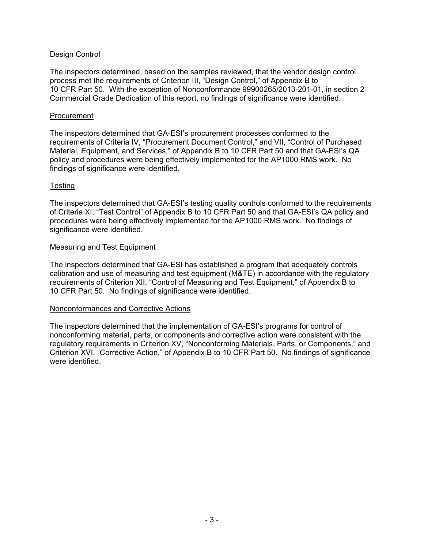#### Design Control

The inspectors determined, based on the samples reviewed, that the vendor design control process met the requirements of Criterion III, "Design Control," of Appendix B to 10 CFR Part 50. With the exception of Nonconformance 99900265/2013-201-01, in section 2 Commercial Grade Dedication of this report, no findings of significance were identified.

#### Procurement

The inspectors determined that GA-ESI's procurement processes conformed to the requirements of Criteria IV, "Procurement Document Control," and VII, "Control of Purchased Material, Equipment, and Services," of Appendix B to 10 CFR Part 50 and that GA-ESI's QA policy and procedures were being effectively implemented for the AP1000 RMS work. No findings of significance were identified.

#### Testing

The inspectors determined that GA-ESI's testing quality controls conformed to the requirements of Criteria XI, "Test Control" of Appendix B to 10 CFR Part 50 and that GA-ESI's QA policy and procedures were being effectively implemented for the AP1000 RMS work. No findings of significance were identified.

#### Measuring and Test Equipment

The inspectors determined that GA-ESI has established a program that adequately controls calibration and use of measuring and test equipment (M&TE) in accordance with the regulatory requirements of Criterion XII, "Control of Measuring and Test Equipment," of Appendix B to 10 CFR Part 50. No findings of significance were identified.

#### Nonconformances and Corrective Actions

The inspectors determined that the implementation of GA-ESI's programs for control of nonconforming material, parts, or components and corrective action were consistent with the regulatory requirements in Criterion XV, "Nonconforming Materials, Parts, or Components," and Criterion XVI, "Corrective Action," of Appendix B to 10 CFR Part 50. No findings of significance were identified.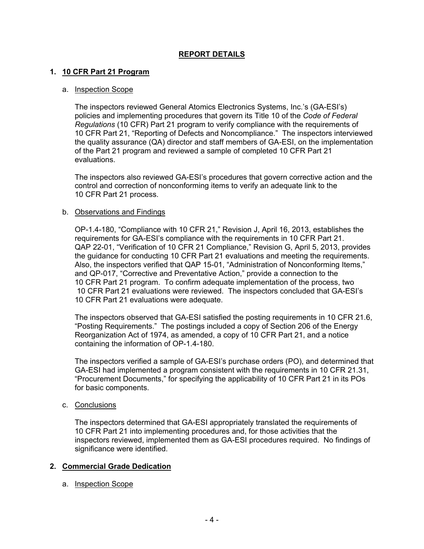# **REPORT DETAILS**

#### **1. 10 CFR Part 21 Program**

#### a. Inspection Scope

The inspectors reviewed General Atomics Electronics Systems, Inc.'s (GA-ESI's) policies and implementing procedures that govern its Title 10 of the *Code of Federal Regulations* (10 CFR) Part 21 program to verify compliance with the requirements of 10 CFR Part 21, "Reporting of Defects and Noncompliance." The inspectors interviewed the quality assurance (QA) director and staff members of GA-ESI, on the implementation of the Part 21 program and reviewed a sample of completed 10 CFR Part 21 evaluations.

The inspectors also reviewed GA-ESI's procedures that govern corrective action and the control and correction of nonconforming items to verify an adequate link to the 10 CFR Part 21 process.

#### b. Observations and Findings

OP-1.4-180, "Compliance with 10 CFR 21," Revision J, April 16, 2013, establishes the requirements for GA-ESI's compliance with the requirements in 10 CFR Part 21. QAP 22-01, "Verification of 10 CFR 21 Compliance," Revision G, April 5, 2013, provides the guidance for conducting 10 CFR Part 21 evaluations and meeting the requirements. Also, the inspectors verified that QAP 15-01, "Administration of Nonconforming Items," and QP-017, "Corrective and Preventative Action," provide a connection to the 10 CFR Part 21 program. To confirm adequate implementation of the process, two 10 CFR Part 21 evaluations were reviewed. The inspectors concluded that GA-ESI's 10 CFR Part 21 evaluations were adequate.

The inspectors observed that GA-ESI satisfied the posting requirements in 10 CFR 21.6, "Posting Requirements." The postings included a copy of Section 206 of the Energy Reorganization Act of 1974, as amended, a copy of 10 CFR Part 21, and a notice containing the information of OP-1.4-180.

The inspectors verified a sample of GA-ESI's purchase orders (PO), and determined that GA-ESI had implemented a program consistent with the requirements in 10 CFR 21.31, "Procurement Documents," for specifying the applicability of 10 CFR Part 21 in its POs for basic components.

#### c. Conclusions

The inspectors determined that GA-ESI appropriately translated the requirements of 10 CFR Part 21 into implementing procedures and, for those activities that the inspectors reviewed, implemented them as GA-ESI procedures required. No findings of significance were identified.

### **2. Commercial Grade Dedication**

### a. Inspection Scope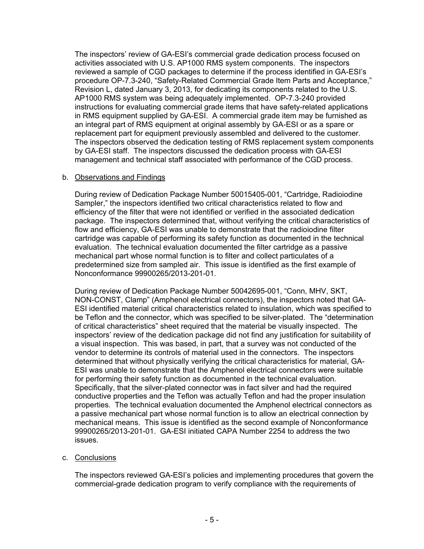The inspectors' review of GA-ESI's commercial grade dedication process focused on activities associated with U.S. AP1000 RMS system components. The inspectors reviewed a sample of CGD packages to determine if the process identified in GA-ESI's procedure OP-7.3-240, "Safety-Related Commercial Grade Item Parts and Acceptance," Revision L, dated January 3, 2013, for dedicating its components related to the U.S. AP1000 RMS system was being adequately implemented. OP-7.3-240 provided instructions for evaluating commercial grade items that have safety-related applications in RMS equipment supplied by GA-ESI. A commercial grade item may be furnished as an integral part of RMS equipment at original assembly by GA-ESI or as a spare or replacement part for equipment previously assembled and delivered to the customer. The inspectors observed the dedication testing of RMS replacement system components by GA-ESI staff. The inspectors discussed the dedication process with GA-ESI management and technical staff associated with performance of the CGD process.

### b. Observations and Findings

During review of Dedication Package Number 50015405-001, "Cartridge, Radioiodine Sampler," the inspectors identified two critical characteristics related to flow and efficiency of the filter that were not identified or verified in the associated dedication package. The inspectors determined that, without verifying the critical characteristics of flow and efficiency, GA-ESI was unable to demonstrate that the radioiodine filter cartridge was capable of performing its safety function as documented in the technical evaluation. The technical evaluation documented the filter cartridge as a passive mechanical part whose normal function is to filter and collect particulates of a predetermined size from sampled air. This issue is identified as the first example of Nonconformance 99900265/2013-201-01.

During review of Dedication Package Number 50042695-001, "Conn, MHV, SKT, NON-CONST, Clamp" (Amphenol electrical connectors), the inspectors noted that GA-ESI identified material critical characteristics related to insulation, which was specified to be Teflon and the connector, which was specified to be silver-plated. The "determination of critical characteristics" sheet required that the material be visually inspected. The inspectors' review of the dedication package did not find any justification for suitability of a visual inspection. This was based, in part, that a survey was not conducted of the vendor to determine its controls of material used in the connectors. The inspectors determined that without physically verifying the critical characteristics for material, GA-ESI was unable to demonstrate that the Amphenol electrical connectors were suitable for performing their safety function as documented in the technical evaluation. Specifically, that the silver-plated connector was in fact silver and had the required conductive properties and the Teflon was actually Teflon and had the proper insulation properties. The technical evaluation documented the Amphenol electrical connectors as a passive mechanical part whose normal function is to allow an electrical connection by mechanical means. This issue is identified as the second example of Nonconformance 99900265/2013-201-01. GA-ESI initiated CAPA Number 2254 to address the two issues.

# c. Conclusions

The inspectors reviewed GA-ESI's policies and implementing procedures that govern the commercial-grade dedication program to verify compliance with the requirements of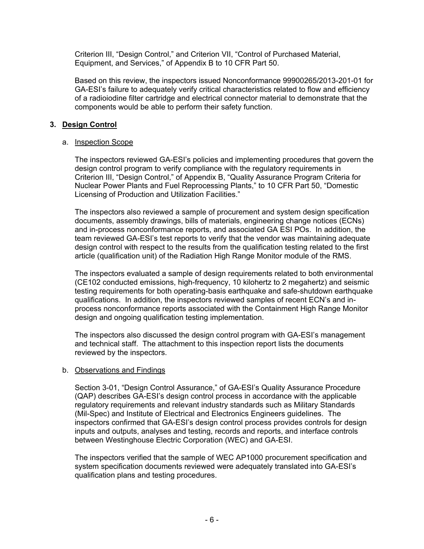Criterion III, "Design Control," and Criterion VII, "Control of Purchased Material, Equipment, and Services," of Appendix B to 10 CFR Part 50.

Based on this review, the inspectors issued Nonconformance 99900265/2013-201-01 for GA-ESI's failure to adequately verify critical characteristics related to flow and efficiency of a radioiodine filter cartridge and electrical connector material to demonstrate that the components would be able to perform their safety function.

### **3. Design Control**

### a. Inspection Scope

The inspectors reviewed GA-ESI's policies and implementing procedures that govern the design control program to verify compliance with the regulatory requirements in Criterion III, "Design Control," of Appendix B, "Quality Assurance Program Criteria for Nuclear Power Plants and Fuel Reprocessing Plants," to 10 CFR Part 50, "Domestic Licensing of Production and Utilization Facilities."

The inspectors also reviewed a sample of procurement and system design specification documents, assembly drawings, bills of materials, engineering change notices (ECNs) and in-process nonconformance reports, and associated GA ESI POs. In addition, the team reviewed GA-ESI's test reports to verify that the vendor was maintaining adequate design control with respect to the results from the qualification testing related to the first article (qualification unit) of the Radiation High Range Monitor module of the RMS.

The inspectors evaluated a sample of design requirements related to both environmental (CE102 conducted emissions, high-frequency, 10 kilohertz to 2 megahertz) and seismic testing requirements for both operating-basis earthquake and safe-shutdown earthquake qualifications. In addition, the inspectors reviewed samples of recent ECN's and inprocess nonconformance reports associated with the Containment High Range Monitor design and ongoing qualification testing implementation.

The inspectors also discussed the design control program with GA-ESI's management and technical staff. The attachment to this inspection report lists the documents reviewed by the inspectors.

### b. Observations and Findings

Section 3-01, "Design Control Assurance," of GA-ESI's Quality Assurance Procedure (QAP) describes GA-ESI's design control process in accordance with the applicable regulatory requirements and relevant industry standards such as Military Standards (Mil-Spec) and Institute of Electrical and Electronics Engineers guidelines. The inspectors confirmed that GA-ESI's design control process provides controls for design inputs and outputs, analyses and testing, records and reports, and interface controls between Westinghouse Electric Corporation (WEC) and GA-ESI.

The inspectors verified that the sample of WEC AP1000 procurement specification and system specification documents reviewed were adequately translated into GA-ESI's qualification plans and testing procedures.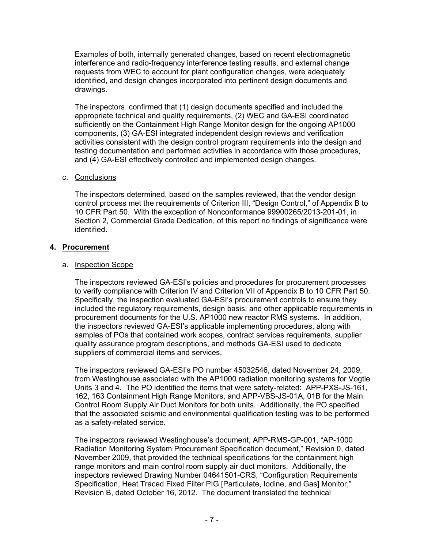Examples of both, internally generated changes, based on recent electromagnetic interference and radio-frequency interference testing results, and external change requests from WEC to account for plant configuration changes, were adequately identified, and design changes incorporated into pertinent design documents and drawings.

The inspectors confirmed that (1) design documents specified and included the appropriate technical and quality requirements, (2) WEC and GA-ESI coordinated sufficiently on the Containment High Range Monitor design for the ongoing AP1000 components, (3) GA-ESI integrated independent design reviews and verification activities consistent with the design control program requirements into the design and testing documentation and performed activities in accordance with those procedures, and (4) GA-ESI effectively controlled and implemented design changes.

## c. Conclusions

The inspectors determined, based on the samples reviewed, that the vendor design control process met the requirements of Criterion III, "Design Control," of Appendix B to 10 CFR Part 50. With the exception of Nonconformance 99900265/2013-201-01, in Section 2, Commercial Grade Dedication, of this report no findings of significance were identified.

## **4. Procurement**

## a. Inspection Scope

The inspectors reviewed GA-ESI's policies and procedures for procurement processes to verify compliance with Criterion IV and Criterion VII of Appendix B to 10 CFR Part 50. Specifically, the inspection evaluated GA-ESI's procurement controls to ensure they included the regulatory requirements, design basis, and other applicable requirements in procurement documents for the U.S. AP1000 new reactor RMS systems. In addition, the inspectors reviewed GA-ESI's applicable implementing procedures, along with samples of POs that contained work scopes, contract services requirements, supplier quality assurance program descriptions, and methods GA-ESI used to dedicate suppliers of commercial items and services.

The inspectors reviewed GA-ESI's PO number 45032546, dated November 24, 2009, from Westinghouse associated with the AP1000 radiation monitoring systems for Vogtle Units 3 and 4. The PO identified the items that were safety-related: APP-PXS-JS-161, 162, 163 Containment High Range Monitors, and APP-VBS-JS-01A, 01B for the Main Control Room Supply Air Duct Monitors for both units. Additionally, the PO specified that the associated seismic and environmental qualification testing was to be performed as a safety-related service.

The inspectors reviewed Westinghouse's document, APP-RMS-GP-001, "AP-1000 Radiation Monitoring System Procurement Specification document," Revision 0, dated November 2009, that provided the technical specifications for the containment high range monitors and main control room supply air duct monitors. Additionally, the inspectors reviewed Drawing Number 04641501-CRS, "Configuration Requirements Specification, Heat Traced Fixed Filter PIG [Particulate, Iodine, and Gas] Monitor," Revision B, dated October 16, 2012. The document translated the technical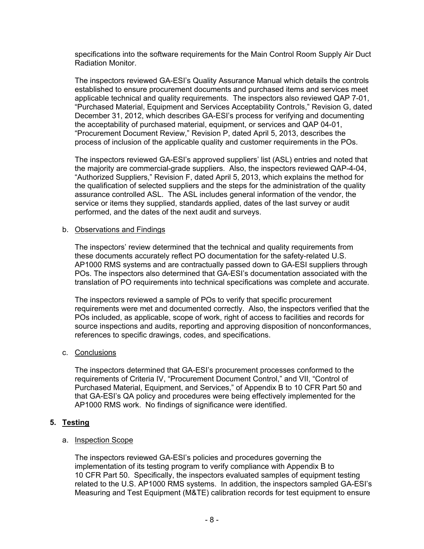specifications into the software requirements for the Main Control Room Supply Air Duct Radiation Monitor.

The inspectors reviewed GA-ESI's Quality Assurance Manual which details the controls established to ensure procurement documents and purchased items and services meet applicable technical and quality requirements. The inspectors also reviewed QAP 7-01, "Purchased Material, Equipment and Services Acceptability Controls," Revision G, dated December 31, 2012, which describes GA-ESI's process for verifying and documenting the acceptability of purchased material, equipment, or services and QAP 04-01, "Procurement Document Review," Revision P, dated April 5, 2013, describes the process of inclusion of the applicable quality and customer requirements in the POs.

The inspectors reviewed GA-ESI's approved suppliers' list (ASL) entries and noted that the majority are commercial-grade suppliers. Also, the inspectors reviewed QAP-4-04, "Authorized Suppliers," Revision F, dated April 5, 2013, which explains the method for the qualification of selected suppliers and the steps for the administration of the quality assurance controlled ASL. The ASL includes general information of the vendor, the service or items they supplied, standards applied, dates of the last survey or audit performed, and the dates of the next audit and surveys.

#### b. Observations and Findings

The inspectors' review determined that the technical and quality requirements from these documents accurately reflect PO documentation for the safety-related U.S. AP1000 RMS systems and are contractually passed down to GA-ESI suppliers through POs. The inspectors also determined that GA-ESI's documentation associated with the translation of PO requirements into technical specifications was complete and accurate.

The inspectors reviewed a sample of POs to verify that specific procurement requirements were met and documented correctly. Also, the inspectors verified that the POs included, as applicable, scope of work, right of access to facilities and records for source inspections and audits, reporting and approving disposition of nonconformances, references to specific drawings, codes, and specifications.

### c. Conclusions

The inspectors determined that GA-ESI's procurement processes conformed to the requirements of Criteria IV, "Procurement Document Control," and VII, "Control of Purchased Material, Equipment, and Services," of Appendix B to 10 CFR Part 50 and that GA-ESI's QA policy and procedures were being effectively implemented for the AP1000 RMS work. No findings of significance were identified.

### **5. Testing**

### a. Inspection Scope

The inspectors reviewed GA-ESI's policies and procedures governing the implementation of its testing program to verify compliance with Appendix B to 10 CFR Part 50. Specifically, the inspectors evaluated samples of equipment testing related to the U.S. AP1000 RMS systems. In addition, the inspectors sampled GA-ESI's Measuring and Test Equipment (M&TE) calibration records for test equipment to ensure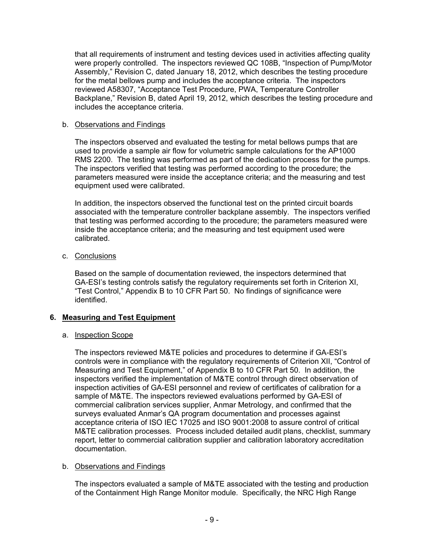that all requirements of instrument and testing devices used in activities affecting quality were properly controlled. The inspectors reviewed QC 108B, "Inspection of Pump/Motor Assembly," Revision C, dated January 18, 2012, which describes the testing procedure for the metal bellows pump and includes the acceptance criteria. The inspectors reviewed A58307, "Acceptance Test Procedure, PWA, Temperature Controller Backplane," Revision B, dated April 19, 2012, which describes the testing procedure and includes the acceptance criteria.

### b. Observations and Findings

The inspectors observed and evaluated the testing for metal bellows pumps that are used to provide a sample air flow for volumetric sample calculations for the AP1000 RMS 2200. The testing was performed as part of the dedication process for the pumps. The inspectors verified that testing was performed according to the procedure; the parameters measured were inside the acceptance criteria; and the measuring and test equipment used were calibrated.

In addition, the inspectors observed the functional test on the printed circuit boards associated with the temperature controller backplane assembly. The inspectors verified that testing was performed according to the procedure; the parameters measured were inside the acceptance criteria; and the measuring and test equipment used were calibrated.

### c. Conclusions

Based on the sample of documentation reviewed, the inspectors determined that GA-ESI's testing controls satisfy the regulatory requirements set forth in Criterion XI, "Test Control," Appendix B to 10 CFR Part 50. No findings of significance were identified.

### **6. Measuring and Test Equipment**

### a. Inspection Scope

The inspectors reviewed M&TE policies and procedures to determine if GA-ESI's controls were in compliance with the regulatory requirements of Criterion XII, "Control of Measuring and Test Equipment," of Appendix B to 10 CFR Part 50. In addition, the inspectors verified the implementation of M&TE control through direct observation of inspection activities of GA-ESI personnel and review of certificates of calibration for a sample of M&TE. The inspectors reviewed evaluations performed by GA-ESI of commercial calibration services supplier, Anmar Metrology, and confirmed that the surveys evaluated Anmar's QA program documentation and processes against acceptance criteria of ISO IEC 17025 and ISO 9001:2008 to assure control of critical M&TE calibration processes. Process included detailed audit plans, checklist, summary report, letter to commercial calibration supplier and calibration laboratory accreditation documentation.

### b. Observations and Findings

The inspectors evaluated a sample of M&TE associated with the testing and production of the Containment High Range Monitor module. Specifically, the NRC High Range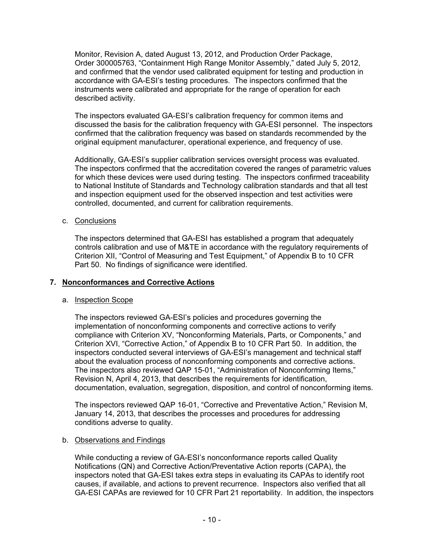Monitor, Revision A, dated August 13, 2012, and Production Order Package, Order 300005763, "Containment High Range Monitor Assembly," dated July 5, 2012, and confirmed that the vendor used calibrated equipment for testing and production in accordance with GA-ESI's testing procedures. The inspectors confirmed that the instruments were calibrated and appropriate for the range of operation for each described activity.

The inspectors evaluated GA-ESI's calibration frequency for common items and discussed the basis for the calibration frequency with GA-ESI personnel. The inspectors confirmed that the calibration frequency was based on standards recommended by the original equipment manufacturer, operational experience, and frequency of use.

Additionally, GA-ESI's supplier calibration services oversight process was evaluated. The inspectors confirmed that the accreditation covered the ranges of parametric values for which these devices were used during testing. The inspectors confirmed traceability to National Institute of Standards and Technology calibration standards and that all test and inspection equipment used for the observed inspection and test activities were controlled, documented, and current for calibration requirements.

### c. Conclusions

The inspectors determined that GA-ESI has established a program that adequately controls calibration and use of M&TE in accordance with the regulatory requirements of Criterion XII, "Control of Measuring and Test Equipment," of Appendix B to 10 CFR Part 50. No findings of significance were identified.

### **7. Nonconformances and Corrective Actions**

#### a. Inspection Scope

The inspectors reviewed GA-ESI's policies and procedures governing the implementation of nonconforming components and corrective actions to verify compliance with Criterion XV, "Nonconforming Materials, Parts, or Components," and Criterion XVI, "Corrective Action," of Appendix B to 10 CFR Part 50. In addition, the inspectors conducted several interviews of GA-ESI's management and technical staff about the evaluation process of nonconforming components and corrective actions. The inspectors also reviewed QAP 15-01, "Administration of Nonconforming Items," Revision N, April 4, 2013, that describes the requirements for identification, documentation, evaluation, segregation, disposition, and control of nonconforming items.

The inspectors reviewed QAP 16-01, "Corrective and Preventative Action," Revision M, January 14, 2013, that describes the processes and procedures for addressing conditions adverse to quality.

#### b. Observations and Findings

While conducting a review of GA-ESI's nonconformance reports called Quality Notifications (QN) and Corrective Action/Preventative Action reports (CAPA), the inspectors noted that GA-ESI takes extra steps in evaluating its CAPAs to identify root causes, if available, and actions to prevent recurrence. Inspectors also verified that all GA-ESI CAPAs are reviewed for 10 CFR Part 21 reportability. In addition, the inspectors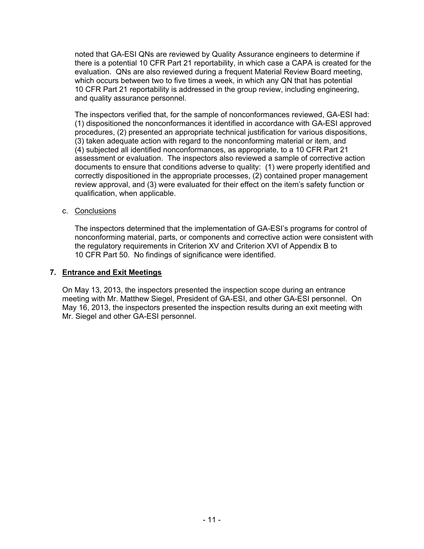noted that GA-ESI QNs are reviewed by Quality Assurance engineers to determine if there is a potential 10 CFR Part 21 reportability, in which case a CAPA is created for the evaluation. QNs are also reviewed during a frequent Material Review Board meeting, which occurs between two to five times a week, in which any QN that has potential 10 CFR Part 21 reportability is addressed in the group review, including engineering, and quality assurance personnel.

The inspectors verified that, for the sample of nonconformances reviewed, GA-ESI had: (1) dispositioned the nonconformances it identified in accordance with GA-ESI approved procedures, (2) presented an appropriate technical justification for various dispositions, (3) taken adequate action with regard to the nonconforming material or item, and (4) subjected all identified nonconformances, as appropriate, to a 10 CFR Part 21 assessment or evaluation. The inspectors also reviewed a sample of corrective action documents to ensure that conditions adverse to quality: (1) were properly identified and correctly dispositioned in the appropriate processes, (2) contained proper management review approval, and (3) were evaluated for their effect on the item's safety function or qualification, when applicable.

### c. Conclusions

The inspectors determined that the implementation of GA-ESI's programs for control of nonconforming material, parts, or components and corrective action were consistent with the regulatory requirements in Criterion XV and Criterion XVI of Appendix B to 10 CFR Part 50. No findings of significance were identified.

## **7. Entrance and Exit Meetings**

On May 13, 2013, the inspectors presented the inspection scope during an entrance meeting with Mr. Matthew Siegel, President of GA-ESI, and other GA-ESI personnel. On May 16, 2013, the inspectors presented the inspection results during an exit meeting with Mr. Siegel and other GA-ESI personnel.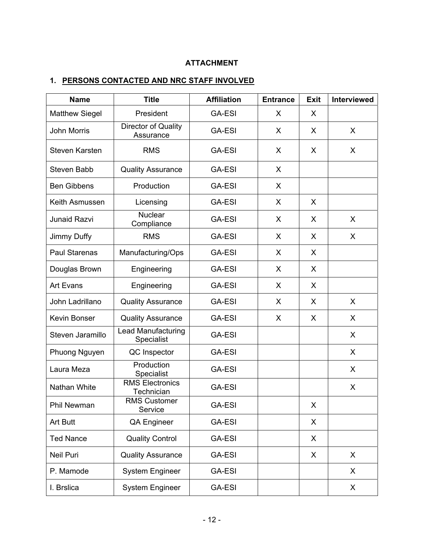# **ATTACHMENT**

# **1. PERSONS CONTACTED AND NRC STAFF INVOLVED**

| <b>Name</b>           | <b>Title</b>                         | <b>Affiliation</b> | <b>Entrance</b> | <b>Exit</b> | Interviewed |
|-----------------------|--------------------------------------|--------------------|-----------------|-------------|-------------|
| <b>Matthew Siegel</b> | President                            | <b>GA-ESI</b>      | X               | X           |             |
| <b>John Morris</b>    | Director of Quality<br>Assurance     | <b>GA-ESI</b>      | X               | X           | X           |
| <b>Steven Karsten</b> | <b>RMS</b>                           | <b>GA-ESI</b>      | X               | X           | X           |
| <b>Steven Babb</b>    | <b>Quality Assurance</b>             | <b>GA-ESI</b>      | X               |             |             |
| <b>Ben Gibbens</b>    | Production                           | <b>GA-ESI</b>      | X               |             |             |
| Keith Asmussen        | Licensing                            | <b>GA-ESI</b>      | X               | X           |             |
| <b>Junaid Razvi</b>   | <b>Nuclear</b><br>Compliance         | <b>GA-ESI</b>      | X               | X           | X           |
| Jimmy Duffy           | <b>RMS</b>                           | <b>GA-ESI</b>      | X               | X           | X           |
| <b>Paul Starenas</b>  | Manufacturing/Ops                    | <b>GA-ESI</b>      | X               | X           |             |
| Douglas Brown         | Engineering                          | <b>GA-ESI</b>      | X               | X           |             |
| <b>Art Evans</b>      | Engineering                          | <b>GA-ESI</b>      | X               | X           |             |
| John Ladrillano       | <b>Quality Assurance</b>             | <b>GA-ESI</b>      | X               | X           | X           |
| Kevin Bonser          | <b>Quality Assurance</b>             | <b>GA-ESI</b>      | X               | X           | X           |
| Steven Jaramillo      | Lead Manufacturing<br>Specialist     | <b>GA-ESI</b>      |                 |             | X           |
| Phuong Nguyen         | QC Inspector                         | <b>GA-ESI</b>      |                 |             | X           |
| Laura Meza            | Production<br>Specialist             | <b>GA-ESI</b>      |                 |             | X           |
| Nathan White          | <b>RMS Electronics</b><br>Technician | <b>GA-ESI</b>      |                 |             | X           |
| Phil Newman           | <b>RMS Customer</b><br>Service       | <b>GA-ESI</b>      |                 | X           |             |
| Art Butt              | QA Engineer                          | <b>GA-ESI</b>      |                 | X           |             |
| <b>Ted Nance</b>      | <b>Quality Control</b>               | <b>GA-ESI</b>      |                 | X           |             |
| Neil Puri             | <b>Quality Assurance</b>             | <b>GA-ESI</b>      |                 | X           | X           |
| P. Mamode             | <b>System Engineer</b>               | <b>GA-ESI</b>      |                 |             | X           |
| I. Brslica            | <b>System Engineer</b>               | <b>GA-ESI</b>      |                 |             | X           |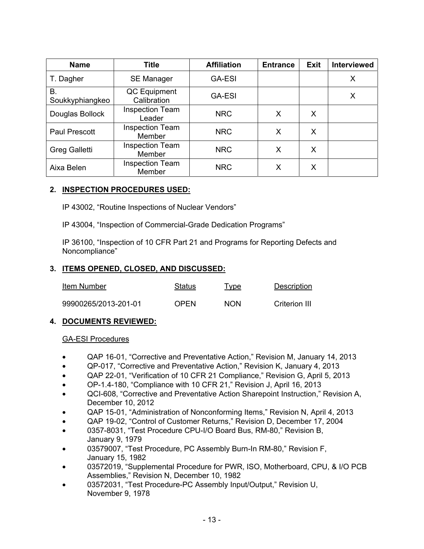| <b>Name</b>           | <b>Title</b>                     | <b>Affiliation</b> | <b>Entrance</b> | <b>Exit</b> | Interviewed |
|-----------------------|----------------------------------|--------------------|-----------------|-------------|-------------|
| T. Dagher             | <b>SE Manager</b>                | <b>GA-ESI</b>      |                 |             | X           |
| В.<br>Soukkyphiangkeo | QC Equipment<br>Calibration      | <b>GA-ESI</b>      |                 |             | Х           |
| Douglas Bollock       | <b>Inspection Team</b><br>Leader | <b>NRC</b>         | X               | X           |             |
| Paul Prescott         | <b>Inspection Team</b><br>Member | <b>NRC</b>         | X               | X           |             |
| Greg Galletti         | <b>Inspection Team</b><br>Member | <b>NRC</b>         | Х               | X           |             |
| Aixa Belen            | <b>Inspection Team</b><br>Member | <b>NRC</b>         | Χ               | Х           |             |

# **2. INSPECTION PROCEDURES USED:**

IP 43002, "Routine Inspections of Nuclear Vendors"

IP 43004, "Inspection of Commercial-Grade Dedication Programs"

IP 36100, "Inspection of 10 CFR Part 21 and Programs for Reporting Defects and Noncompliance"

## **3. ITEMS OPENED, CLOSED, AND DISCUSSED:**

| Item Number          | Status      | <u>Type</u> | Description   |
|----------------------|-------------|-------------|---------------|
| 99900265/2013-201-01 | <b>OPFN</b> | <b>NON</b>  | Criterion III |

### **4. DOCUMENTS REVIEWED:**

### GA-ESI Procedures

- QAP 16-01, "Corrective and Preventative Action," Revision M, January 14, 2013
- QP-017, "Corrective and Preventative Action," Revision K, January 4, 2013
- QAP 22-01, "Verification of 10 CFR 21 Compliance," Revision G, April 5, 2013
- OP-1.4-180, "Compliance with 10 CFR 21," Revision J, April 16, 2013
- QCI-608, "Corrective and Preventative Action Sharepoint Instruction," Revision A, December 10, 2012
- QAP 15-01, "Administration of Nonconforming Items," Revision N, April 4, 2013
- QAP 19-02, "Control of Customer Returns," Revision D, December 17, 2004
- 0357-8031, "Test Procedure CPU-I/O Board Bus, RM-80," Revision B, January 9, 1979
- 03579007, "Test Procedure, PC Assembly Burn-In RM-80," Revision F, January 15, 1982
- 03572019, "Supplemental Procedure for PWR, ISO, Motherboard, CPU, & I/O PCB Assemblies," Revision N, December 10, 1982
- 03572031, "Test Procedure-PC Assembly Input/Output," Revision U, November 9, 1978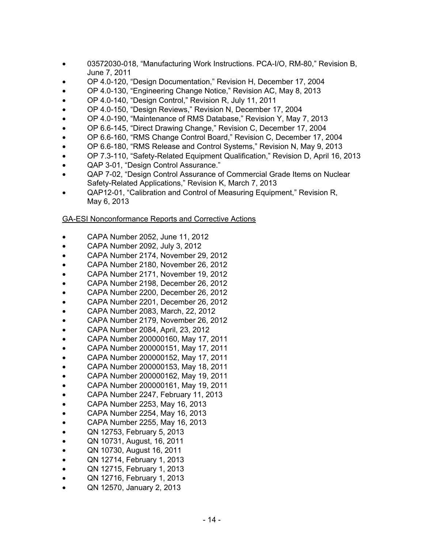- 03572030-018, "Manufacturing Work Instructions. PCA-I/O, RM-80," Revision B, June 7, 2011
- OP 4.0-120, "Design Documentation," Revision H, December 17, 2004
- OP 4.0-130, "Engineering Change Notice," Revision AC, May 8, 2013
- OP 4.0-140, "Design Control," Revision R, July 11, 2011
- OP 4.0-150, "Design Reviews," Revision N, December 17, 2004
- OP 4.0-190, "Maintenance of RMS Database," Revision Y, May 7, 2013
- OP 6.6-145, "Direct Drawing Change," Revision C, December 17, 2004
- OP 6.6-160, "RMS Change Control Board," Revision C, December 17, 2004
- OP 6.6-180, "RMS Release and Control Systems," Revision N, May 9, 2013
- OP 7.3-110, "Safety-Related Equipment Qualification," Revision D, April 16, 2013
- QAP 3-01, "Design Control Assurance."
- QAP 7-02, "Design Control Assurance of Commercial Grade Items on Nuclear Safety-Related Applications," Revision K, March 7, 2013
- QAP12-01, "Calibration and Control of Measuring Equipment," Revision R, May 6, 2013

#### GA-ESI Nonconformance Reports and Corrective Actions

- CAPA Number 2052, June 11, 2012
- CAPA Number 2092, July 3, 2012
- CAPA Number 2174, November 29, 2012
- CAPA Number 2180, November 26, 2012
- CAPA Number 2171, November 19, 2012
- CAPA Number 2198, December 26, 2012
- CAPA Number 2200, December 26, 2012
- CAPA Number 2201, December 26, 2012
- CAPA Number 2083, March, 22, 2012
- CAPA Number 2179, November 26, 2012
- CAPA Number 2084, April, 23, 2012
- CAPA Number 200000160, May 17, 2011
- CAPA Number 200000151, May 17, 2011
- CAPA Number 200000152, May 17, 2011
- CAPA Number 200000153, May 18, 2011
- CAPA Number 200000162, May 19, 2011
- CAPA Number 200000161, May 19, 2011
- CAPA Number 2247, February 11, 2013
- 
- CAPA Number 2253, May 16, 2013
- CAPA Number 2254, May 16, 2013
- CAPA Number 2255, May 16, 2013
- QN 12753, February 5, 2013
- QN 10731, August, 16, 2011
- QN 10730, August 16, 2011
- QN 12714, February 1, 2013
- QN 12715, February 1, 2013
- QN 12716, February 1, 2013
- QN 12570, January 2, 2013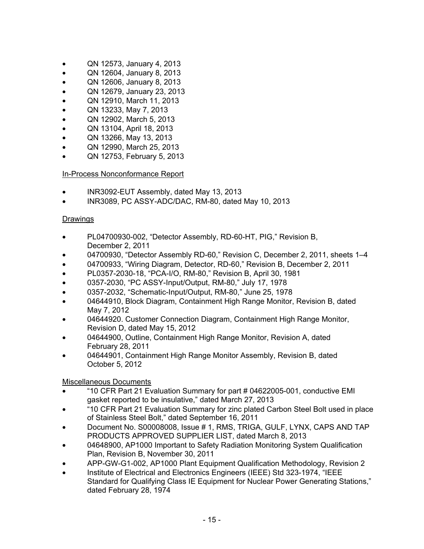- QN 12573, January 4, 2013
- QN 12604, January 8, 2013
- QN 12606, January 8, 2013
- QN 12679, January 23, 2013
- QN 12910, March 11, 2013
- QN 13233, May 7, 2013
- QN 12902, March 5, 2013
- QN 13104, April 18, 2013
- QN 13266, May 13, 2013
- QN 12990, March 25, 2013
- QN 12753, February 5, 2013

In-Process Nonconformance Report

- INR3092-EUT Assembly, dated May 13, 2013
- INR3089, PC ASSY-ADC/DAC, RM-80, dated May 10, 2013

## Drawings

- PL04700930-002, "Detector Assembly, RD-60-HT, PIG," Revision B, December 2, 2011
- 04700930, "Detector Assembly RD-60," Revision C, December 2, 2011, sheets 1–4
- 04700933, "Wiring Diagram, Detector, RD-60," Revision B, December 2, 2011
- PL0357-2030-18, "PCA-I/O, RM-80," Revision B, April 30, 1981
- 0357-2030, "PC ASSY-Input/Output, RM-80," July 17, 1978
- 0357-2032, "Schematic-Input/Output, RM-80," June 25, 1978
- 04644910, Block Diagram, Containment High Range Monitor, Revision B, dated May 7, 2012
- 04644920. Customer Connection Diagram, Containment High Range Monitor, Revision D, dated May 15, 2012
- 04644900, Outline, Containment High Range Monitor, Revision A, dated February 28, 2011
- 04644901, Containment High Range Monitor Assembly, Revision B, dated October 5, 2012

# Miscellaneous Documents

- "10 CFR Part 21 Evaluation Summary for part # 04622005-001, conductive EMI gasket reported to be insulative," dated March 27, 2013
- "10 CFR Part 21 Evaluation Summary for zinc plated Carbon Steel Bolt used in place of Stainless Steel Bolt," dated September 16, 2011
- Document No. S00008008, Issue # 1, RMS, TRIGA, GULF, LYNX, CAPS AND TAP PRODUCTS APPROVED SUPPLIER LIST, dated March 8, 2013
- 04648900, AP1000 Important to Safety Radiation Monitoring System Qualification Plan, Revision B, November 30, 2011
- APP-GW-G1-002, AP1000 Plant Equipment Qualification Methodology, Revision 2
- Institute of Electrical and Electronics Engineers (IEEE) Std 323-1974, "IEEE Standard for Qualifying Class IE Equipment for Nuclear Power Generating Stations," dated February 28, 1974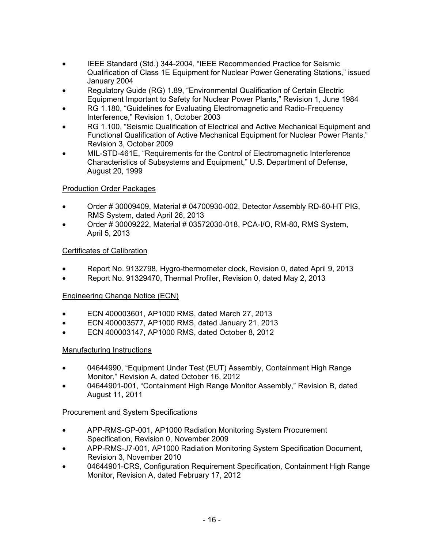- IEEE Standard (Std.) 344-2004, "IEEE Recommended Practice for Seismic Qualification of Class 1E Equipment for Nuclear Power Generating Stations," issued January 2004
- Regulatory Guide (RG) 1.89, "Environmental Qualification of Certain Electric Equipment Important to Safety for Nuclear Power Plants," Revision 1, June 1984
- RG 1.180, "Guidelines for Evaluating Electromagnetic and Radio-Frequency Interference," Revision 1, October 2003
- RG 1.100, "Seismic Qualification of Electrical and Active Mechanical Equipment and Functional Qualification of Active Mechanical Equipment for Nuclear Power Plants," Revision 3, October 2009
- MIL-STD-461E, "Requirements for the Control of Electromagnetic Interference Characteristics of Subsystems and Equipment," U.S. Department of Defense, August 20, 1999

## Production Order Packages

- Order # 30009409, Material # 04700930-002, Detector Assembly RD-60-HT PIG, RMS System, dated April 26, 2013
- Order # 30009222, Material # 03572030-018, PCA-I/O, RM-80, RMS System, April 5, 2013

## Certificates of Calibration

- Report No. 9132798, Hygro-thermometer clock, Revision 0, dated April 9, 2013
- Report No. 91329470, Thermal Profiler, Revision 0, dated May 2, 2013

# Engineering Change Notice (ECN)

- ECN 400003601, AP1000 RMS, dated March 27, 2013
- ECN 400003577, AP1000 RMS, dated January 21, 2013
- ECN 400003147, AP1000 RMS, dated October 8, 2012

### Manufacturing Instructions

- 04644990, "Equipment Under Test (EUT) Assembly, Containment High Range Monitor," Revision A, dated October 16, 2012
- 04644901-001, "Containment High Range Monitor Assembly," Revision B, dated August 11, 2011

### Procurement and System Specifications

- APP-RMS-GP-001, AP1000 Radiation Monitoring System Procurement Specification, Revision 0, November 2009
- APP-RMS-J7-001, AP1000 Radiation Monitoring System Specification Document, Revision 3, November 2010
- 04644901-CRS, Configuration Requirement Specification, Containment High Range Monitor, Revision A, dated February 17, 2012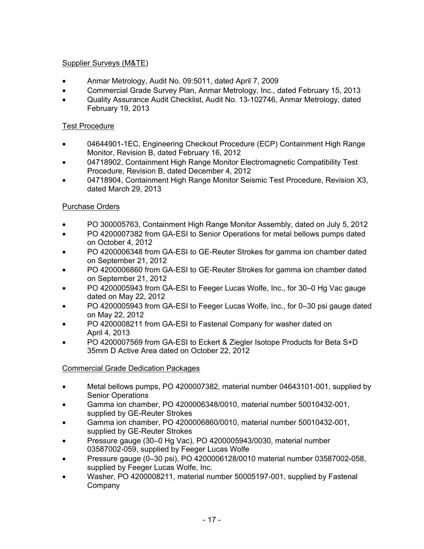# Supplier Surveys (M&TE)

- Anmar Metrology, Audit No. 09:5011, dated April 7, 2009
- Commercial Grade Survey Plan, Anmar Metrology, Inc., dated February 15, 2013
- Quality Assurance Audit Checklist, Audit No. 13-102746, Anmar Metrology, dated February 19, 2013

## Test Procedure

- 04644901-1EC, Engineering Checkout Procedure (ECP) Containment High Range Monitor, Revision B, dated February 16, 2012
- 04718902, Containment High Range Monitor Electromagnetic Compatibility Test Procedure, Revision B, dated December 4, 2012
- 04718904, Containment High Range Monitor Seismic Test Procedure, Revision X3, dated March 29, 2013

# Purchase Orders

- PO 300005763, Containment High Range Monitor Assembly, dated on July 5, 2012
- PO 4200007382 from GA-ESI to Senior Operations for metal bellows pumps dated on October 4, 2012
- PO 4200006348 from GA-ESI to GE-Reuter Strokes for gamma ion chamber dated on September 21, 2012
- PO 4200006860 from GA-ESI to GE-Reuter Strokes for gamma ion chamber dated on September 21, 2012
- PO 4200005943 from GA-ESI to Feeger Lucas Wolfe, Inc., for 30–0 Hg Vac gauge dated on May 22, 2012
- PO 4200005943 from GA-ESI to Feeger Lucas Wolfe, Inc., for 0–30 psi gauge dated on May 22, 2012
- PO 4200008211 from GA-ESI to Fastenal Company for washer dated on April 4, 2013
- PO 4200007569 from GA-ESI to Eckert & Ziegler Isotope Products for Beta S+D 35mm D Active Area dated on October 22, 2012

# Commercial Grade Dedication Packages

- Metal bellows pumps, PO 4200007382, material number 04643101-001, supplied by Senior Operations
- Gamma ion chamber, PO 4200006348/0010, material number 50010432-001, supplied by GE-Reuter Strokes
- Gamma ion chamber, PO 4200006860/0010, material number 50010432-001, supplied by GE-Reuter Strokes
- Pressure gauge (30–0 Hg Vac), PO 4200005943/0030, material number 03587002-059, supplied by Feeger Lucas Wolfe
- Pressure gauge (0–30 psi), PO 4200006128/0010 material number 03587002-058, supplied by Feeger Lucas Wolfe, Inc.
- Washer, PO 4200008211, material number 50005197-001, supplied by Fastenal Company